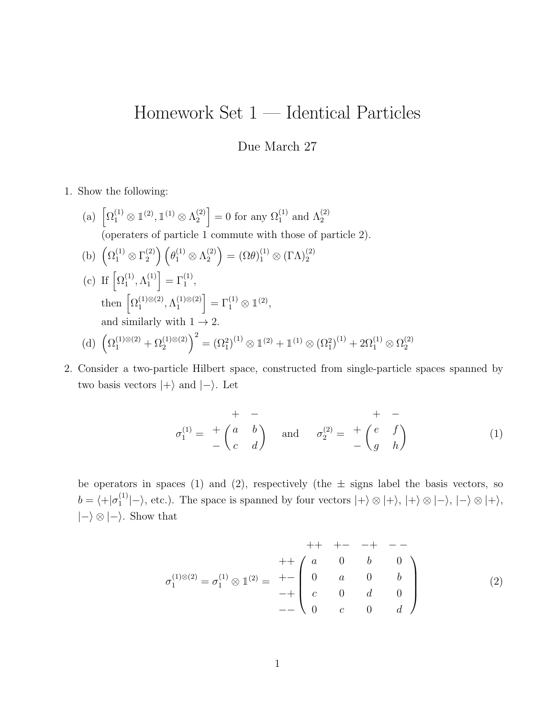## Homework Set 1 — Identical Particles

## Due March 27

1. Show the following:

- (a)  $\left[\Omega_1^{(1)} \otimes \mathbb{1}^{(2)}, \mathbb{1}^{(1)} \otimes \Lambda_2^{(2)}\right]$  $\binom{2}{2}$  = 0 for any  $\Omega_1^{(1)}$  and  $\Lambda_2^{(2)}$ (operaters of particle 1 commute with those of particle 2). (b)  $\left(\Omega_1^{(1)} \otimes \Gamma_2^{(2)}\right)$  $\left(\begin{smallmatrix} (2)\ 2 \end{smallmatrix}\right) \left(\begin{smallmatrix} \theta_1^{(1)} \otimes \Lambda_2^{(2)} \end{smallmatrix}\right)$  $\binom{2}{2} = (\Omega \theta)_{1}^{(1)} \otimes (\Gamma \Lambda)_{2}^{(2)}$ (c) If  $\left[ \Omega _{1}^{(1)}\right]$  $\stackrel{(1)}{1}, \stackrel{(1)}{1}$  $\begin{bmatrix} 1 \\ 1 \end{bmatrix} = \Gamma_1^{(1)},$ then  $\left[\Omega_1^{(1)\otimes(2)}\right]$  $\Lambda_1^{(1)\otimes (2)}, \Lambda_1^{(1)\otimes (2)}$  $\begin{bmatrix} 1 \\ 1 \end{bmatrix} \otimes (2) = \Gamma_1^{(1)} \otimes \mathbb{1}^{(2)},$ and similarly with  $1 \rightarrow 2$ . (d)  $(\Omega_1^{(1)\otimes(2)} + \Omega_2^{(1)\otimes(2)})^2 = (\Omega_1^2)^{(1)} \otimes 1^{(2)} + 1^{(1)} \otimes (\Omega_1^2)^{(1)} + 2\Omega_1^{(1)} \otimes \Omega_2^{(2)}$ 2
- 2. Consider a two-particle Hilbert space, constructed from single-particle spaces spanned by two basis vectors  $|+\rangle$  and  $|-\rangle$ . Let

$$
\sigma_1^{(1)} = \begin{array}{c} + \\ + \\ - \end{array} \begin{array}{c} + \\ + \\ - \end{array} \begin{array}{c} + \\ - \\ - \end{array} \begin{array}{c} + \\ - \\ - \end{array} \begin{array}{c} + \\ + \\ - \end{array} \begin{array}{c} + \\ - \end{array} \begin{array}{c} + \\ - \end{array} \begin{array}{c} + \\ - \end{array} \begin{array}{c} + \\ - \end{array} \begin{array}{c} + \\ - \end{array} \begin{array}{c} + \\ - \end{array} \begin{array}{c} + \\ - \end{array} \begin{array}{c} + \\ - \end{array} \begin{array}{c} + \\ - \end{array} \begin{array}{c} + \\ - \end{array} \begin{array}{c} + \\ - \end{array} \begin{array}{c} + \\ - \end{array} \begin{array}{c} + \\ - \end{array} \begin{array}{c} + \\ - \end{array} \begin{array}{c} + \\ - \end{array} \begin{array}{c} + \\ - \end{array} \begin{array}{c} + \\ - \end{array} \begin{array}{c} + \\ - \end{array} \begin{array}{c} + \\ - \end{array} \begin{array}{c} + \\ - \end{array} \begin{array}{c} + \\ - \end{array} \begin{array}{c} + \\ - \end{array} \begin{array}{c} + \\ - \end{array} \begin{array}{c} + \\ - \end{array} \begin{array}{c} + \\ - \end{array} \begin{array}{c} + \\ - \end{array} \begin{array}{c} + \\ - \end{array} \begin{array}{c} + \\ - \end{array} \begin{array}{c} + \\ - \end{array} \begin{array}{c} + \\ - \end{array} \begin{array}{c} + \\ - \end{array} \begin{array}{c} + \\ - \end{array} \begin{array}{c} + \\ - \end{array} \begin{array}{c} + \\ - \end{array} \begin{array}{c} + \\ - \end{array} \begin{array}{c} + \\ - \end{array} \begin{array}{c} + \\ - \end{array} \begin{array}{c} + \\ - \end{array} \begin{array}{c} + \\ - \end{array} \begin{array}{c} + \\ - \end{array} \begin{array}{c} + \\ - \end{array} \begin{array}{c} + \\ - \end{array} \begin{array}{c} + \\ - \end{array} \begin{array}{c} + \\ - \end{array} \begin{array}{c
$$

be operators in spaces (1) and (2), respectively (the  $\pm$  signs label the basis vectors, so  $b = \langle + | \sigma_1^{(1)} \rangle$  $|1 \choose 1$ , etc.). The space is spanned by four vectors  $|+\rangle \otimes |+\rangle$ ,  $|+\rangle \otimes |-\rangle$ ,  $|-\rangle \otimes |+\rangle$ ,  $|-\rangle \otimes |-\rangle$ . Show that

$$
+ + + - - + - -
$$
\n
$$
\sigma_1^{(1)\otimes(2)} = \sigma_1^{(1)} \otimes 1^{(2)} = + - \begin{pmatrix} a & 0 & b & 0 \\ 0 & a & 0 & b \\ c & 0 & d & 0 \\ 0 & c & 0 & d \end{pmatrix}
$$
\n(2)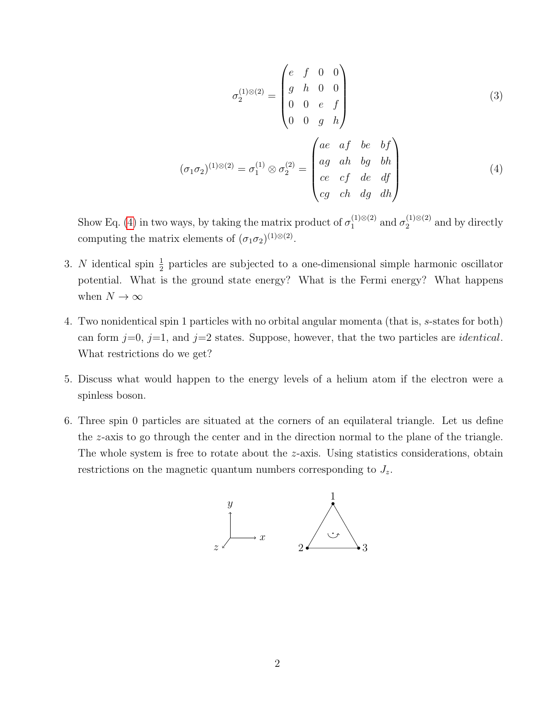<span id="page-1-0"></span>
$$
\sigma_2^{(1)\otimes(2)} = \begin{pmatrix} e & f & 0 & 0 \\ g & h & 0 & 0 \\ 0 & 0 & e & f \\ 0 & 0 & g & h \end{pmatrix}
$$
(3)  

$$
(\sigma_1 \sigma_2)^{(1)\otimes(2)} = \sigma_1^{(1)} \otimes \sigma_2^{(2)} = \begin{pmatrix} ae & af & be & bf \\ ag & ah & bg & bh \\ ce & cf & de & df \\ ce & ch & dg & dh \end{pmatrix}
$$
(4)

Show Eq. [\(4\)](#page-1-0) in two ways, by taking the matrix product of  $\sigma_1^{(1)\otimes(2)}$  $_{1}^{(1)\otimes(2)}$  and  $\sigma_{2}^{(1)\otimes(2)}$  $_2^{(1)\otimes(2)}$  and by directly computing the matrix elements of  $(\sigma_1 \sigma_2)^{(1) \otimes (2)}$ .

- 3. N identical spin  $\frac{1}{2}$  particles are subjected to a one-dimensional simple harmonic oscillator potential. What is the ground state energy? What is the Fermi energy? What happens when  $N \to \infty$
- 4. Two nonidentical spin 1 particles with no orbital angular momenta (that is, s-states for both) can form  $j=0$ ,  $j=1$ , and  $j=2$  states. Suppose, however, that the two particles are *identical*. What restrictions do we get?
- 5. Discuss what would happen to the energy levels of a helium atom if the electron were a spinless boson.
- 6. Three spin 0 particles are situated at the corners of an equilateral triangle. Let us define the z-axis to go through the center and in the direction normal to the plane of the triangle. The whole system is free to rotate about the z-axis. Using statistics considerations, obtain restrictions on the magnetic quantum numbers corresponding to  $J_z$ .